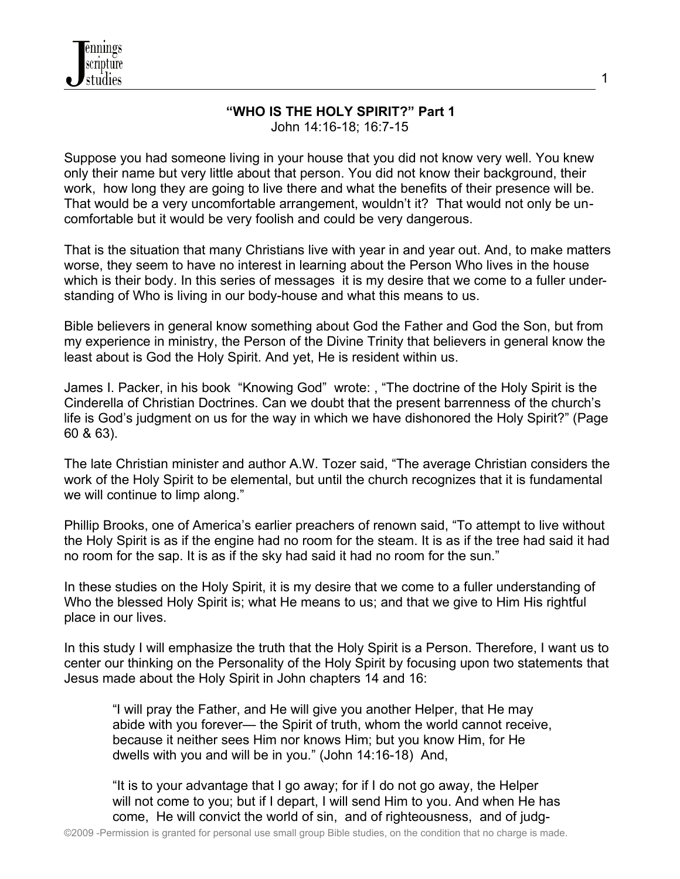

#### **"WHO IS THE HOLY SPIRIT?" Part 1** John 14:16-18; 16:7-15

Suppose you had someone living in your house that you did not know very well. You knew only their name but very little about that person. You did not know their background, their work, how long they are going to live there and what the benefits of their presence will be. That would be a very uncomfortable arrangement, wouldn't it? That would not only be uncomfortable but it would be very foolish and could be very dangerous.

That is the situation that many Christians live with year in and year out. And, to make matters worse, they seem to have no interest in learning about the Person Who lives in the house which is their body. In this series of messages it is my desire that we come to a fuller understanding of Who is living in our body-house and what this means to us.

Bible believers in general know something about God the Father and God the Son, but from my experience in ministry, the Person of the Divine Trinity that believers in general know the least about is God the Holy Spirit. And yet, He is resident within us.

James I. Packer, in his book "Knowing God" wrote: , "The doctrine of the Holy Spirit is the Cinderella of Christian Doctrines. Can we doubt that the present barrenness of the church's life is God's judgment on us for the way in which we have dishonored the Holy Spirit?" (Page 60 & 63).

The late Christian minister and author A.W. Tozer said, "The average Christian considers the work of the Holy Spirit to be elemental, but until the church recognizes that it is fundamental we will continue to limp along."

Phillip Brooks, one of America's earlier preachers of renown said, "To attempt to live without the Holy Spirit is as if the engine had no room for the steam. It is as if the tree had said it had no room for the sap. It is as if the sky had said it had no room for the sun."

In these studies on the Holy Spirit, it is my desire that we come to a fuller understanding of Who the blessed Holy Spirit is; what He means to us; and that we give to Him His rightful place in our lives.

In this study I will emphasize the truth that the Holy Spirit is a Person. Therefore, I want us to center our thinking on the Personality of the Holy Spirit by focusing upon two statements that Jesus made about the Holy Spirit in John chapters 14 and 16:

 "I will pray the Father, and He will give you another Helper, that He may abide with you forever— the Spirit of truth, whom the world cannot receive, because it neither sees Him nor knows Him; but you know Him, for He dwells with you and will be in you." (John 14:16-18) And,

 "It is to your advantage that I go away; for if I do not go away, the Helper will not come to you; but if I depart, I will send Him to you. And when He has come, He will convict the world of sin, and of righteousness, and of judg1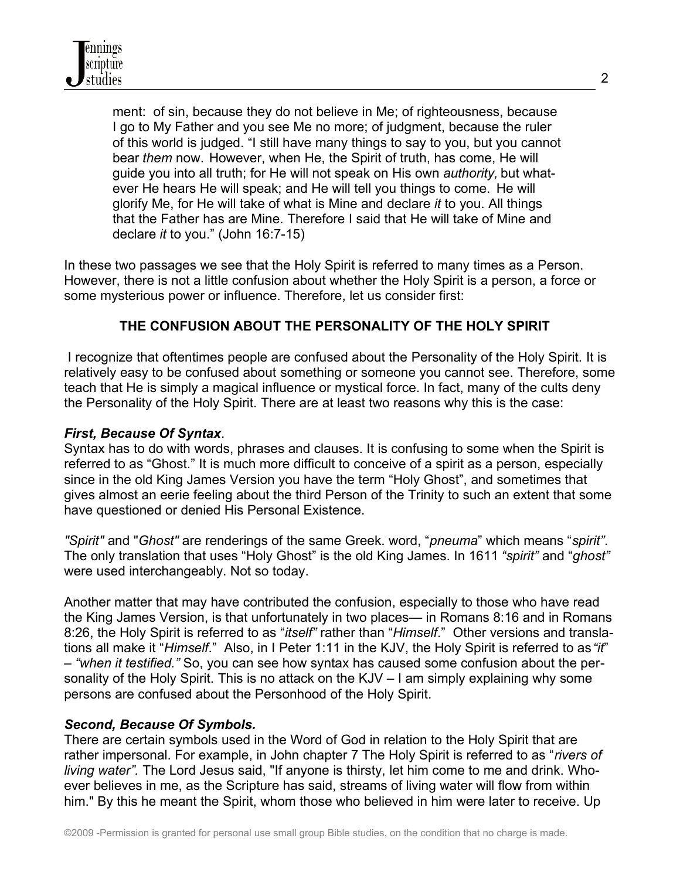ment: of sin, because they do not believe in Me; of righteousness, because I go to My Father and you see Me no more; of judgment, because the ruler of this world is judged. "I still have many things to say to you, but you cannot bear *them* now. However, when He, the Spirit of truth, has come, He will guide you into all truth; for He will not speak on His own *authority,* but what ever He hears He will speak; and He will tell you things to come. He will glorify Me, for He will take of what is Mine and declare *it* to you. All things that the Father has are Mine. Therefore I said that He will take of Mine and declare *it* to you." (John 16:7-15)

In these two passages we see that the Holy Spirit is referred to many times as a Person. However, there is not a little confusion about whether the Holy Spirit is a person, a force or some mysterious power or influence. Therefore, let us consider first:

# **THE CONFUSION ABOUT THE PERSONALITY OF THE HOLY SPIRIT**

 I recognize that oftentimes people are confused about the Personality of the Holy Spirit. It is relatively easy to be confused about something or someone you cannot see. Therefore, some teach that He is simply a magical influence or mystical force. In fact, many of the cults deny the Personality of the Holy Spirit. There are at least two reasons why this is the case:

### *First, Because Of Syntax*.

Syntax has to do with words, phrases and clauses. It is confusing to some when the Spirit is referred to as "Ghost." It is much more difficult to conceive of a spirit as a person, especially since in the old King James Version you have the term "Holy Ghost", and sometimes that gives almost an eerie feeling about the third Person of the Trinity to such an extent that some have questioned or denied His Personal Existence.

*"Spirit"* and "*Ghost"* are renderings of the same Greek. word, "*pneuma*" which means "*spirit"*. The only translation that uses "Holy Ghost" is the old King James. In 1611 *"spirit"* and "*ghost"* were used interchangeably. Not so today.

Another matter that may have contributed the confusion, especially to those who have read the King James Version, is that unfortunately in two places— in Romans 8:16 and in Romans 8:26, the Holy Spirit is referred to as "*itself"* rather than "*Himself*." Other versions and translations all make it "*Himself*." Also, in I Peter 1:11 in the KJV, the Holy Spirit is referred to as *"it*" – *"when it testified."* So, you can see how syntax has caused some confusion about the personality of the Holy Spirit. This is no attack on the KJV – I am simply explaining why some persons are confused about the Personhood of the Holy Spirit.

### *Second, Because Of Symbols.*

There are certain symbols used in the Word of God in relation to the Holy Spirit that are rather impersonal. For example, in John chapter 7 The Holy Spirit is referred to as "*rivers of living water".* The Lord Jesus said, "If anyone is thirsty, let him come to me and drink. Whoever believes in me, as the Scripture has said, streams of living water will flow from within him." By this he meant the Spirit, whom those who believed in him were later to receive. Up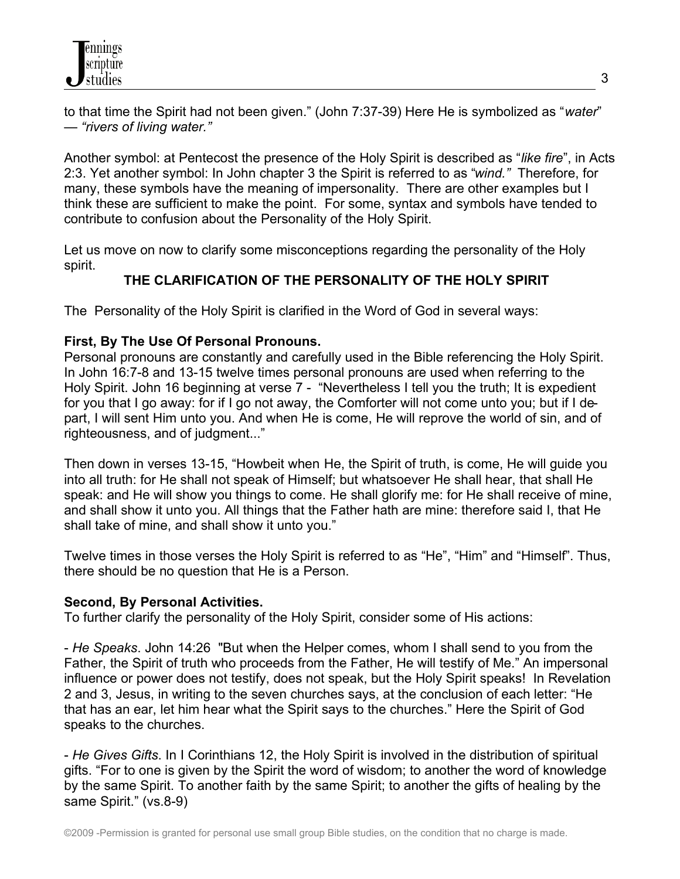to that time the Spirit had not been given." (John 7:37-39) Here He is symbolized as "*water*" — *"rivers of living water."*

Another symbol: at Pentecost the presence of the Holy Spirit is described as "*like fire*", in Acts 2:3. Yet another symbol: In John chapter 3 the Spirit is referred to as "*wind."* Therefore, for many, these symbols have the meaning of impersonality. There are other examples but I think these are sufficient to make the point. For some, syntax and symbols have tended to contribute to confusion about the Personality of the Holy Spirit.

Let us move on now to clarify some misconceptions regarding the personality of the Holy spirit.

# **THE CLARIFICATION OF THE PERSONALITY OF THE HOLY SPIRIT**

The Personality of the Holy Spirit is clarified in the Word of God in several ways:

# **First, By The Use Of Personal Pronouns.**

Personal pronouns are constantly and carefully used in the Bible referencing the Holy Spirit. In John 16:7-8 and 13-15 twelve times personal pronouns are used when referring to the Holy Spirit. John 16 beginning at verse 7 - "Nevertheless I tell you the truth; It is expedient for you that I go away: for if I go not away, the Comforter will not come unto you; but if I depart, I will sent Him unto you. And when He is come, He will reprove the world of sin, and of righteousness, and of judgment..."

Then down in verses 13-15, "Howbeit when He, the Spirit of truth, is come, He will guide you into all truth: for He shall not speak of Himself; but whatsoever He shall hear, that shall He speak: and He will show you things to come. He shall glorify me: for He shall receive of mine, and shall show it unto you. All things that the Father hath are mine: therefore said I, that He shall take of mine, and shall show it unto you."

Twelve times in those verses the Holy Spirit is referred to as "He", "Him" and "Himself". Thus, there should be no question that He is a Person.

# **Second, By Personal Activities.**

To further clarify the personality of the Holy Spirit, consider some of His actions:

- *He Speaks*. John 14:26 "But when the Helper comes, whom I shall send to you from the Father, the Spirit of truth who proceeds from the Father, He will testify of Me." An impersonal influence or power does not testify, does not speak, but the Holy Spirit speaks! In Revelation 2 and 3, Jesus, in writing to the seven churches says, at the conclusion of each letter: "He that has an ear, let him hear what the Spirit says to the churches." Here the Spirit of God speaks to the churches.

- *He Gives Gifts*. In I Corinthians 12, the Holy Spirit is involved in the distribution of spiritual gifts. "For to one is given by the Spirit the word of wisdom; to another the word of knowledge by the same Spirit. To another faith by the same Spirit; to another the gifts of healing by the same Spirit." (vs.8-9)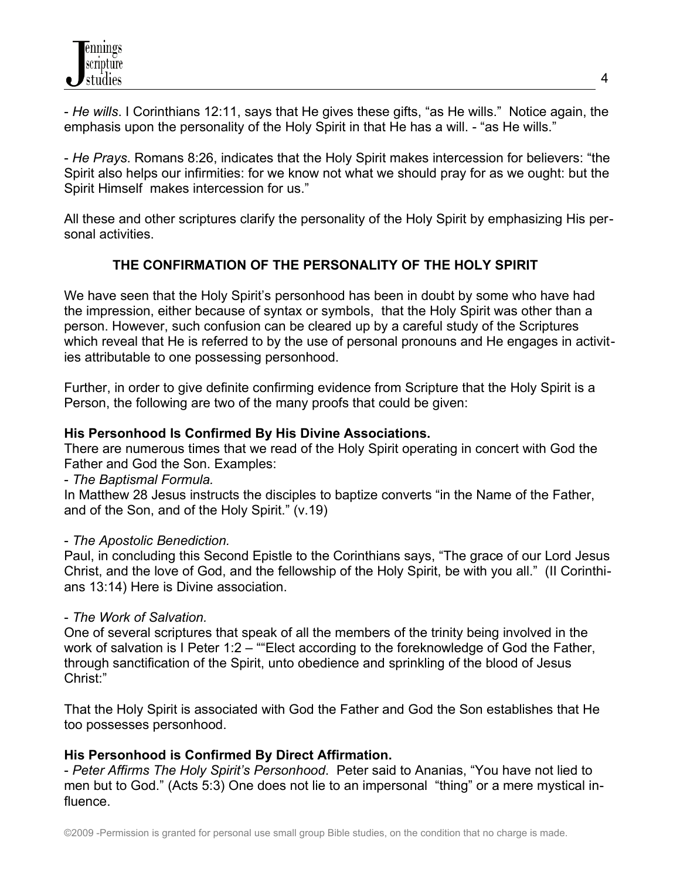

- *He wills*. I Corinthians 12:11, says that He gives these gifts, "as He wills." Notice again, the emphasis upon the personality of the Holy Spirit in that He has a will. - "as He wills."

- *He Prays*. Romans 8:26, indicates that the Holy Spirit makes intercession for believers: "the Spirit also helps our infirmities: for we know not what we should pray for as we ought: but the Spirit Himself makes intercession for us."

All these and other scriptures clarify the personality of the Holy Spirit by emphasizing His personal activities.

# **THE CONFIRMATION OF THE PERSONALITY OF THE HOLY SPIRIT**

We have seen that the Holy Spirit's personhood has been in doubt by some who have had the impression, either because of syntax or symbols, that the Holy Spirit was other than a person. However, such confusion can be cleared up by a careful study of the Scriptures which reveal that He is referred to by the use of personal pronouns and He engages in activities attributable to one possessing personhood.

Further, in order to give definite confirming evidence from Scripture that the Holy Spirit is a Person, the following are two of the many proofs that could be given:

### **His Personhood Is Confirmed By His Divine Associations.**

There are numerous times that we read of the Holy Spirit operating in concert with God the Father and God the Son. Examples:

### - *The Baptismal Formula.*

In Matthew 28 Jesus instructs the disciples to baptize converts "in the Name of the Father, and of the Son, and of the Holy Spirit." (v.19)

### - *The Apostolic Benediction.*

Paul, in concluding this Second Epistle to the Corinthians says, "The grace of our Lord Jesus Christ, and the love of God, and the fellowship of the Holy Spirit, be with you all." (II Corinthians 13:14) Here is Divine association.

### - *The Work of Salvation.*

One of several scriptures that speak of all the members of the trinity being involved in the work of salvation is I Peter 1:2 – ""Elect according to the foreknowledge of God the Father, through sanctification of the Spirit, unto obedience and sprinkling of the blood of Jesus Christ:"

That the Holy Spirit is associated with God the Father and God the Son establishes that He too possesses personhood.

# **His Personhood is Confirmed By Direct Affirmation.**

- *Peter Affirms The Holy Spirit's Personhood*. Peter said to Ananias, "You have not lied to men but to God." (Acts 5:3) One does not lie to an impersonal "thing" or a mere mystical influence.